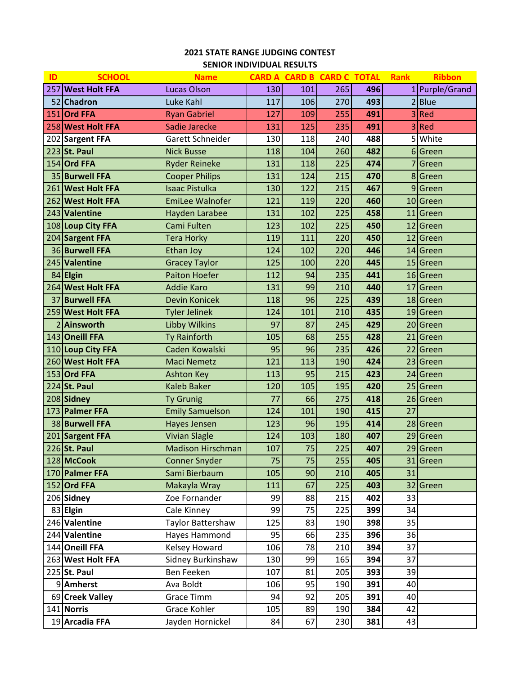# **STATE RANGE JUDGING CONTEST SENIOR INDIVIDUAL RESULTS**

| ID | <b>SCHOOL</b>     | <b>Name</b>              |     |     | <b>CARD A CARD B CARD C TOTAL</b> |     | <b>Rank</b>    | <b>Ribbon</b>  |
|----|-------------------|--------------------------|-----|-----|-----------------------------------|-----|----------------|----------------|
|    | 257 West Holt FFA | <b>Lucas Olson</b>       | 130 | 101 | 265                               | 496 |                | 1 Purple/Grand |
|    | 52 Chadron        | Luke Kahl                | 117 | 106 | 270                               | 493 | $\overline{2}$ | <b>Blue</b>    |
|    | 151 Ord FFA       | <b>Ryan Gabriel</b>      | 127 | 109 | 255                               | 491 | 3              | Red            |
|    | 258 West Holt FFA | Sadie Jarecke            | 131 | 125 | 235                               | 491 |                | Red            |
|    | 202 Sargent FFA   | Garett Schneider         | 130 | 118 | 240                               | 488 | 5              | White          |
|    | 223 St. Paul      | <b>Nick Busse</b>        | 118 | 104 | 260                               | 482 |                | 6 Green        |
|    | $154$ Ord FFA     | <b>Ryder Reineke</b>     | 131 | 118 | 225                               | 474 |                | Green          |
|    | 35 Burwell FFA    | <b>Cooper Philips</b>    | 131 | 124 | 215                               | 470 |                | 8 Green        |
|    | 261 West Holt FFA | <b>Isaac Pistulka</b>    | 130 | 122 | 215                               | 467 | 9              | Green          |
|    | 262 West Holt FFA | <b>EmiLee Walnofer</b>   | 121 | 119 | 220                               | 460 |                | 10 Green       |
|    | 243 Valentine     | Hayden Larabee           | 131 | 102 | 225                               | 458 | 11             | Green          |
|    | 108 Loup City FFA | Cami Fulten              | 123 | 102 | 225                               | 450 | 12             | Green          |
|    | 204 Sargent FFA   | <b>Tera Horky</b>        | 119 | 111 | 220                               | 450 | 12             | Green          |
|    | 36 Burwell FFA    | <b>Ethan Joy</b>         | 124 | 102 | 220                               | 446 |                | 14 Green       |
|    | 245 Valentine     | <b>Gracey Taylor</b>     | 125 | 100 | 220                               | 445 |                | 15 Green       |
|    | 84 Elgin          | <b>Paiton Hoefer</b>     | 112 | 94  | 235                               | 441 |                | 16 Green       |
|    | 264 West Holt FFA | <b>Addie Karo</b>        | 131 | 99  | 210                               | 440 | 17             | Green          |
|    | 37 Burwell FFA    | <b>Devin Konicek</b>     | 118 | 96  | 225                               | 439 |                | 18 Green       |
|    | 259 West Holt FFA | <b>Tyler Jelinek</b>     | 124 | 101 | 210                               | 435 | 19             | Green          |
|    | 2 Ainsworth       | <b>Libby Wilkins</b>     | 97  | 87  | 245                               | 429 | 20             | Green          |
|    | 143 Oneill FFA    | Ty Rainforth             | 105 | 68  | 255                               | 428 | 21             | Green          |
|    | 110 Loup City FFA | Caden Kowalski           | 95  | 96  | 235                               | 426 | 22             | Green          |
|    | 260 West Holt FFA | <b>Maci Nemetz</b>       | 121 | 113 | 190                               | 424 | 23             | Green          |
|    | 153 Ord FFA       | <b>Ashton Key</b>        | 113 | 95  | 215                               | 423 | 24             | Green          |
|    | 224 St. Paul      | <b>Kaleb Baker</b>       | 120 | 105 | 195                               | 420 | 25             | Green          |
|    | 208 Sidney        | <b>Ty Grunig</b>         | 77  | 66  | 275                               | 418 | 26             | Green          |
|    | 173 Palmer FFA    | <b>Emily Samuelson</b>   | 124 | 101 | 190                               | 415 | 27             |                |
|    | 38 Burwell FFA    | Hayes Jensen             | 123 | 96  | 195                               | 414 |                | 28 Green       |
|    | 201 Sargent FFA   | <b>Vivian Slagle</b>     | 124 | 103 | 180                               | 407 | 29             | Green          |
|    | 226 St. Paul      | <b>Madison Hirschman</b> | 107 | 75  | 225                               | 407 |                | 29 Green       |
|    | 128 McCook        | <b>Conner Snyder</b>     | 75  | 75  | 255                               | 405 | 31             | Green          |
|    | 170 Palmer FFA    | Sami Bierbaum            | 105 | 90  | 210                               | 405 | 31             |                |
|    | $152$ Ord FFA     | Makayla Wray             | 111 | 67  | 225                               | 403 | 32             | Green          |
|    | 206 Sidney        | Zoe Fornander            | 99  | 88  | 215                               | 402 | 33             |                |
|    | 83 Elgin          | Cale Kinney              | 99  | 75  | 225                               | 399 | 34             |                |
|    | 246 Valentine     | Taylor Battershaw        | 125 | 83  | 190                               | 398 | 35             |                |
|    | 244 Valentine     | Hayes Hammond            | 95  | 66  | 235                               | 396 | 36             |                |
|    | 144 Oneill FFA    | <b>Kelsey Howard</b>     | 106 | 78  | 210                               | 394 | 37             |                |
|    | 263 West Holt FFA | Sidney Burkinshaw        | 130 | 99  | 165                               | 394 | 37             |                |
|    | 225 St. Paul      | Ben Feeken               | 107 | 81  | 205                               | 393 | 39             |                |
|    | 9 Amherst         | Ava Boldt                | 106 | 95  | 190                               | 391 | 40             |                |
|    | 69 Creek Valley   | Grace Timm               | 94  | 92  | 205                               | 391 | 40             |                |
|    | 141 Norris        | Grace Kohler             | 105 | 89  | 190                               | 384 | 42             |                |
|    | 19 Arcadia FFA    | Jayden Hornickel         | 84  | 67  | 230                               | 381 | 43             |                |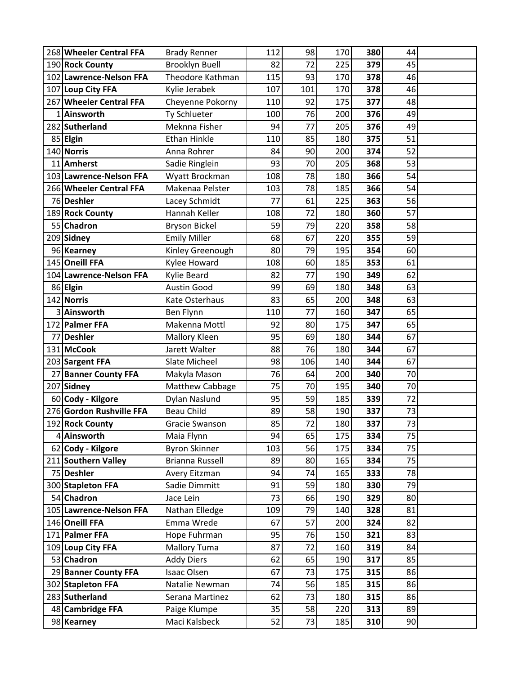|    | 268 Wheeler Central FFA  | <b>Brady Renner</b>     | 112 | 98  | 170 | 380 | 44 |  |
|----|--------------------------|-------------------------|-----|-----|-----|-----|----|--|
|    | 190 Rock County          | <b>Brooklyn Buell</b>   | 82  | 72  | 225 | 379 | 45 |  |
|    | 102 Lawrence-Nelson FFA  | <b>Theodore Kathman</b> | 115 | 93  | 170 | 378 | 46 |  |
|    | 107 Loup City FFA        | Kylie Jerabek           | 107 | 101 | 170 | 378 | 46 |  |
|    | 267 Wheeler Central FFA  | Cheyenne Pokorny        | 110 | 92  | 175 | 377 | 48 |  |
|    | 1 Ainsworth              | Ty Schlueter            | 100 | 76  | 200 | 376 | 49 |  |
|    | 282 Sutherland           | Meknna Fisher           | 94  | 77  | 205 | 376 | 49 |  |
|    | 85 Elgin                 | <b>Ethan Hinkle</b>     | 110 | 85  | 180 | 375 | 51 |  |
|    | 140 Norris               | Anna Rohrer             | 84  | 90  | 200 | 374 | 52 |  |
|    | 11 Amherst               | Sadie Ringlein          | 93  | 70  | 205 | 368 | 53 |  |
|    | 103 Lawrence-Nelson FFA  | Wyatt Brockman          | 108 | 78  | 180 | 366 | 54 |  |
|    | 266 Wheeler Central FFA  | Makenaa Pelster         | 103 | 78  | 185 | 366 | 54 |  |
|    | 76 Deshler               | Lacey Schmidt           | 77  | 61  | 225 | 363 | 56 |  |
|    | 189 Rock County          | Hannah Keller           | 108 | 72  | 180 | 360 | 57 |  |
|    | 55 Chadron               | <b>Bryson Bickel</b>    | 59  | 79  | 220 | 358 | 58 |  |
|    | 209 Sidney               | <b>Emily Miller</b>     | 68  | 67  | 220 | 355 | 59 |  |
|    | 96 Kearney               | Kinley Greenough        | 80  | 79  | 195 | 354 | 60 |  |
|    | 145 Oneill FFA           | Kylee Howard            | 108 | 60  | 185 | 353 | 61 |  |
|    | 104 Lawrence-Nelson FFA  | Kylie Beard             | 82  | 77  | 190 | 349 | 62 |  |
|    | 86 Elgin                 | <b>Austin Good</b>      | 99  | 69  | 180 | 348 | 63 |  |
|    | 142 Norris               | Kate Osterhaus          | 83  | 65  | 200 | 348 | 63 |  |
|    | 3 Ainsworth              | Ben Flynn               | 110 | 77  | 160 | 347 | 65 |  |
|    | 172 Palmer FFA           | Makenna Mottl           | 92  | 80  | 175 | 347 | 65 |  |
|    | 77 Deshler               | Mallory Kleen           | 95  | 69  | 180 | 344 | 67 |  |
|    | 131 McCook               | Jarett Walter           | 88  | 76  | 180 | 344 | 67 |  |
|    | 203 Sargent FFA          | Slate Micheel           | 98  | 106 | 140 | 344 | 67 |  |
| 27 | <b>Banner County FFA</b> | Makyla Mason            | 76  | 64  | 200 | 340 | 70 |  |
|    | 207 Sidney               | Matthew Cabbage         | 75  | 70  | 195 | 340 | 70 |  |
|    | 60 Cody - Kilgore        | Dylan Naslund           | 95  | 59  | 185 | 339 | 72 |  |
|    | 276 Gordon Rushville FFA | <b>Beau Child</b>       | 89  | 58  | 190 | 337 | 73 |  |
|    | 192 Rock County          | Gracie Swanson          | 85  | 72  | 180 | 337 | 73 |  |
|    | 4 Ainsworth              | Maia Flynn              | 94  | 65  | 175 | 334 | 75 |  |
|    | 62 Cody - Kilgore        | <b>Byron Skinner</b>    | 103 | 56  | 175 | 334 | 75 |  |
|    | 211 Southern Valley      | <b>Brianna Russell</b>  | 89  | 80  | 165 | 334 | 75 |  |
|    | 75 Deshler               | Avery Eitzman           | 94  | 74  | 165 | 333 | 78 |  |
|    | 300 Stapleton FFA        | Sadie Dimmitt           | 91  | 59  | 180 | 330 | 79 |  |
|    | 54 Chadron               | Jace Lein               | 73  | 66  | 190 | 329 | 80 |  |
|    | 105 Lawrence-Nelson FFA  | Nathan Elledge          | 109 | 79  | 140 | 328 | 81 |  |
|    | 146 Oneill FFA           | Emma Wrede              | 67  | 57  | 200 | 324 | 82 |  |
|    | 171 Palmer FFA           | Hope Fuhrman            | 95  | 76  | 150 | 321 | 83 |  |
|    | 109 Loup City FFA        | <b>Mallory Tuma</b>     | 87  | 72  | 160 | 319 | 84 |  |
|    | 53 Chadron               | <b>Addy Diers</b>       | 62  | 65  | 190 | 317 | 85 |  |
|    | 29 Banner County FFA     | <b>Isaac Olsen</b>      | 67  | 73  | 175 | 315 | 86 |  |
|    | 302 Stapleton FFA        | Natalie Newman          | 74  | 56  | 185 | 315 | 86 |  |
|    | 283 Sutherland           | Serana Martinez         | 62  | 73  | 180 | 315 | 86 |  |
|    | 48 Cambridge FFA         | Paige Klumpe            | 35  | 58  | 220 | 313 | 89 |  |
|    | 98 Kearney               | Maci Kalsbeck           | 52  | 73  | 185 | 310 | 90 |  |
|    |                          |                         |     |     |     |     |    |  |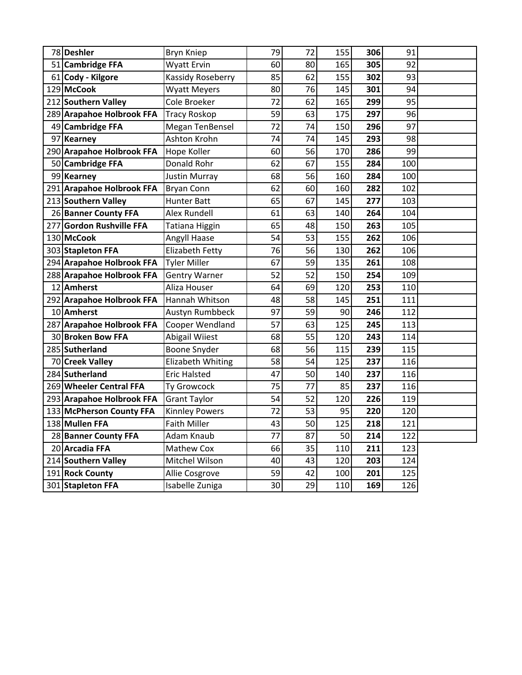| 78 Deshler                | Bryn Kniep             | 79              | 72 | 155 | 306 | 91  |  |
|---------------------------|------------------------|-----------------|----|-----|-----|-----|--|
| 51 Cambridge FFA          | Wyatt Ervin            | 60              | 80 | 165 | 305 | 92  |  |
| 61 Cody - Kilgore         | Kassidy Roseberry      | 85              | 62 | 155 | 302 | 93  |  |
| 129 McCook                | <b>Wyatt Meyers</b>    | 80              | 76 | 145 | 301 | 94  |  |
| 212 Southern Valley       | Cole Broeker           | 72              | 62 | 165 | 299 | 95  |  |
| 289 Arapahoe Holbrook FFA | <b>Tracy Roskop</b>    | 59              | 63 | 175 | 297 | 96  |  |
| 49 Cambridge FFA          | Megan TenBensel        | 72              | 74 | 150 | 296 | 97  |  |
| 97 Kearney                | Ashton Krohn           | 74              | 74 | 145 | 293 | 98  |  |
| 290 Arapahoe Holbrook FFA | Hope Koller            | 60              | 56 | 170 | 286 | 99  |  |
| 50 Cambridge FFA          | Donald Rohr            | 62              | 67 | 155 | 284 | 100 |  |
| 99 Kearney                | Justin Murray          | 68              | 56 | 160 | 284 | 100 |  |
| 291 Arapahoe Holbrook FFA | <b>Bryan Conn</b>      | 62              | 60 | 160 | 282 | 102 |  |
| 213 Southern Valley       | <b>Hunter Batt</b>     | 65              | 67 | 145 | 277 | 103 |  |
| 26 Banner County FFA      | Alex Rundell           | 61              | 63 | 140 | 264 | 104 |  |
| 277 Gordon Rushville FFA  | Tatiana Higgin         | 65              | 48 | 150 | 263 | 105 |  |
| 130 McCook                | Angyll Haase           | 54              | 53 | 155 | 262 | 106 |  |
| 303 Stapleton FFA         | <b>Elizabeth Fetty</b> | 76              | 56 | 130 | 262 | 106 |  |
| 294 Arapahoe Holbrook FFA | <b>Tyler Miller</b>    | 67              | 59 | 135 | 261 | 108 |  |
| 288 Arapahoe Holbrook FFA | <b>Gentry Warner</b>   | 52              | 52 | 150 | 254 | 109 |  |
| 12 Amherst                | Aliza Houser           | 64              | 69 | 120 | 253 | 110 |  |
| 292 Arapahoe Holbrook FFA | Hannah Whitson         | 48              | 58 | 145 | 251 | 111 |  |
| 10 Amherst                | Austyn Rumbbeck        | 97              | 59 | 90  | 246 | 112 |  |
| 287 Arapahoe Holbrook FFA | Cooper Wendland        | 57              | 63 | 125 | 245 | 113 |  |
| 30 Broken Bow FFA         | <b>Abigail Wiiest</b>  | 68              | 55 | 120 | 243 | 114 |  |
| 285 Sutherland            | Boone Snyder           | 68              | 56 | 115 | 239 | 115 |  |
| 70 Creek Valley           | Elizabeth Whiting      | 58              | 54 | 125 | 237 | 116 |  |
| 284 Sutherland            | <b>Eric Halsted</b>    | 47              | 50 | 140 | 237 | 116 |  |
| 269 Wheeler Central FFA   | Ty Growcock            | 75              | 77 | 85  | 237 | 116 |  |
| 293 Arapahoe Holbrook FFA | <b>Grant Taylor</b>    | 54              | 52 | 120 | 226 | 119 |  |
| 133 McPherson County FFA  | <b>Kinnley Powers</b>  | 72              | 53 | 95  | 220 | 120 |  |
| 138 Mullen FFA            | <b>Faith Miller</b>    | 43              | 50 | 125 | 218 | 121 |  |
| 28 Banner County FFA      | Adam Knaub             | 77              | 87 | 50  | 214 | 122 |  |
| 20 Arcadia FFA            | Mathew Cox             | 66              | 35 | 110 | 211 | 123 |  |
| 214 Southern Valley       | Mitchel Wilson         | 40              | 43 | 120 | 203 | 124 |  |
| 191 Rock County           | Allie Cosgrove         | 59              | 42 | 100 | 201 | 125 |  |
| 301 Stapleton FFA         | Isabelle Zuniga        | 30 <sub>l</sub> | 29 | 110 | 169 | 126 |  |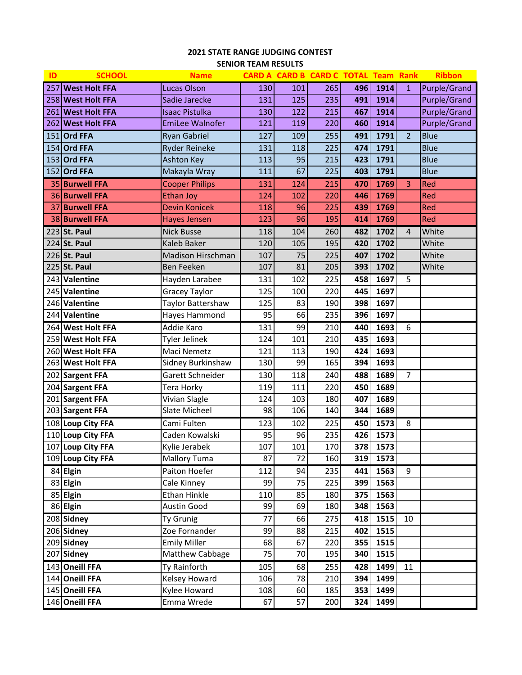# **STATE RANGE JUDGING CONTEST SENIOR TEAM RESULTS**

| ID | <b>SCHOOL</b>         | <b>Name</b>            |     |     | CARD A CARD B CARD C TOTAL Team Rank |     |      |                | <b>Ribbon</b>       |
|----|-----------------------|------------------------|-----|-----|--------------------------------------|-----|------|----------------|---------------------|
|    | 257 West Holt FFA     | <b>Lucas Olson</b>     | 130 | 101 | 265                                  | 496 | 1914 | $\mathbf{1}$   | Purple/Grand        |
|    | 258 West Holt FFA     | Sadie Jarecke          | 131 | 125 | 235                                  | 491 | 1914 |                | <b>Purple/Grand</b> |
|    | 261 West Holt FFA     | <b>Isaac Pistulka</b>  | 130 | 122 | 215                                  | 467 | 1914 |                | <b>Purple/Grand</b> |
|    | 262 West Holt FFA     | <b>EmiLee Walnofer</b> | 121 | 119 | 220                                  | 460 | 1914 |                | <b>Purple/Grand</b> |
|    | 151 Ord FFA           | <b>Ryan Gabriel</b>    | 127 | 109 | 255                                  | 491 | 1791 | $\overline{2}$ | <b>Blue</b>         |
|    | 154 Ord FFA           | <b>Ryder Reineke</b>   | 131 | 118 | 225                                  | 474 | 1791 |                | <b>Blue</b>         |
|    | 153 Ord FFA           | <b>Ashton Key</b>      | 113 | 95  | 215                                  | 423 | 1791 |                | <b>Blue</b>         |
|    | 152 Ord FFA           | Makayla Wray           | 111 | 67  | 225                                  | 403 | 1791 |                | <b>Blue</b>         |
|    | 35 Burwell FFA        | <b>Cooper Philips</b>  | 131 | 124 | 215                                  | 470 | 1769 | 3              | Red                 |
|    | 36 Burwell FFA        | <b>Ethan Joy</b>       | 124 | 102 | 220                                  | 446 | 1769 |                | Red                 |
|    | 37 Burwell FFA        | <b>Devin Konicek</b>   | 118 | 96  | 225                                  | 439 | 1769 |                | Red                 |
|    | 38 Burwell FFA        | <b>Hayes Jensen</b>    | 123 | 96  | 195                                  | 414 | 1769 |                | Red                 |
|    | 223 St. Paul          | <b>Nick Busse</b>      | 118 | 104 | 260                                  | 482 | 1702 | 4              | White               |
|    | 224 St. Paul          | Kaleb Baker            | 120 | 105 | 195                                  | 420 | 1702 |                | White               |
|    | 226 St. Paul          | Madison Hirschman      | 107 | 75  | 225                                  | 407 | 1702 |                | White               |
|    | 225 St. Paul          | Ben Feeken             | 107 | 81  | 205                                  | 393 | 1702 |                | White               |
|    | 243 Valentine         | Hayden Larabee         | 131 | 102 | 225                                  | 458 | 1697 | 5              |                     |
|    | 245 Valentine         | <b>Gracey Taylor</b>   | 125 | 100 | 220                                  | 445 | 1697 |                |                     |
|    | 246 Valentine         | Taylor Battershaw      | 125 | 83  | 190                                  | 398 | 1697 |                |                     |
|    | 244 Valentine         | Hayes Hammond          | 95  | 66  | 235                                  | 396 | 1697 |                |                     |
|    | 264 West Holt FFA     | Addie Karo             | 131 | 99  | 210                                  | 440 | 1693 | 6              |                     |
|    | 259 West Holt FFA     | Tyler Jelinek          | 124 | 101 | 210                                  | 435 | 1693 |                |                     |
|    | 260 West Holt FFA     | Maci Nemetz            | 121 | 113 | 190                                  | 424 | 1693 |                |                     |
|    | 263 West Holt FFA     | Sidney Burkinshaw      | 130 | 99  | 165                                  | 394 | 1693 |                |                     |
|    | 202 Sargent FFA       | Garett Schneider       | 130 | 118 | 240                                  | 488 | 1689 | 7              |                     |
|    | 204 Sargent FFA       | Tera Horky             | 119 | 111 | 220                                  | 450 | 1689 |                |                     |
|    | 201 Sargent FFA       | Vivian Slagle          | 124 | 103 | 180                                  | 407 | 1689 |                |                     |
|    | 203 Sargent FFA       | Slate Micheel          | 98  | 106 | 140                                  | 344 | 1689 |                |                     |
|    | 108 Loup City FFA     | Cami Fulten            | 123 | 102 | 225                                  | 450 | 1573 | 8              |                     |
|    | 110 Loup City FFA     | Caden Kowalski         | 95  | 96  | 235                                  | 426 | 1573 |                |                     |
|    | 107 Loup City FFA     | Kylie Jerabek          | 107 | 101 | 170                                  | 378 | 1573 |                |                     |
|    | 109 Loup City FFA     | <b>Mallory Tuma</b>    | 87  | 72  | 160                                  | 319 | 1573 |                |                     |
|    | 84 Elgin              | Paiton Hoefer          | 112 | 94  | 235                                  | 441 | 1563 | 9              |                     |
|    | 83 Elgin              | Cale Kinney            | 99  | 75  | 225                                  | 399 | 1563 |                |                     |
|    | 85 Elgin              | Ethan Hinkle           | 110 | 85  | 180                                  | 375 | 1563 |                |                     |
|    | $\overline{86}$ Elgin | Austin Good            | 99  | 69  | 180                                  | 348 | 1563 |                |                     |
|    | 208 Sidney            | Ty Grunig              | 77  | 66  | 275                                  | 418 | 1515 | 10             |                     |
|    | 206 Sidney            | Zoe Fornander          | 99  | 88  | 215                                  | 402 | 1515 |                |                     |
|    | 209 Sidney            | <b>Emily Miller</b>    | 68  | 67  | 220                                  | 355 | 1515 |                |                     |
|    | 207 Sidney            | Matthew Cabbage        | 75  | 70  | 195                                  | 340 | 1515 |                |                     |
|    | 143 Oneill FFA        | Ty Rainforth           | 105 | 68  | 255                                  | 428 | 1499 | 11             |                     |
|    | 144 Oneill FFA        | Kelsey Howard          | 106 | 78  | 210                                  | 394 | 1499 |                |                     |
|    | 145 Oneill FFA        | Kylee Howard           | 108 | 60  | 185                                  | 353 | 1499 |                |                     |
|    | 146 Oneill FFA        | Emma Wrede             | 67  | 57  | 200                                  | 324 | 1499 |                |                     |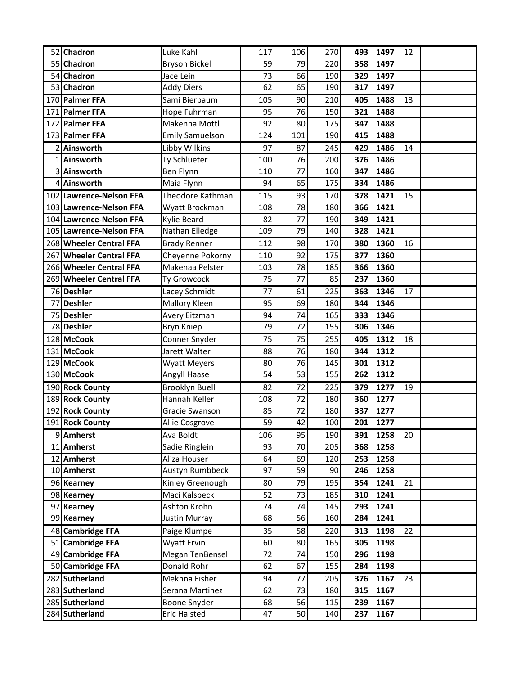| 52 Chadron              | Luke Kahl              | 117 | 106 | 270 | 493 | 1497 | 12 |  |
|-------------------------|------------------------|-----|-----|-----|-----|------|----|--|
| 55 Chadron              | <b>Bryson Bickel</b>   | 59  | 79  | 220 | 358 | 1497 |    |  |
| 54 Chadron              | Jace Lein              | 73  | 66  | 190 | 329 | 1497 |    |  |
| 53 Chadron              | <b>Addy Diers</b>      | 62  | 65  | 190 | 317 | 1497 |    |  |
| 170 Palmer FFA          | Sami Bierbaum          | 105 | 90  | 210 | 405 | 1488 | 13 |  |
| 171 Palmer FFA          | Hope Fuhrman           | 95  | 76  | 150 | 321 | 1488 |    |  |
| 172 Palmer FFA          | Makenna Mottl          | 92  | 80  | 175 | 347 | 1488 |    |  |
| 173 Palmer FFA          | <b>Emily Samuelson</b> | 124 | 101 | 190 | 415 | 1488 |    |  |
| 2 Ainsworth             | Libby Wilkins          | 97  | 87  | 245 | 429 | 1486 | 14 |  |
| 1 Ainsworth             | Ty Schlueter           | 100 | 76  | 200 | 376 | 1486 |    |  |
| 3 Ainsworth             | Ben Flynn              | 110 | 77  | 160 | 347 | 1486 |    |  |
| 4 Ainsworth             | Maia Flynn             | 94  | 65  | 175 | 334 | 1486 |    |  |
| 102 Lawrence-Nelson FFA | Theodore Kathman       | 115 | 93  | 170 | 378 | 1421 | 15 |  |
| 103 Lawrence-Nelson FFA | Wyatt Brockman         | 108 | 78  | 180 | 366 | 1421 |    |  |
| 104 Lawrence-Nelson FFA | Kylie Beard            | 82  | 77  | 190 | 349 | 1421 |    |  |
| 105 Lawrence-Nelson FFA | Nathan Elledge         | 109 | 79  | 140 | 328 | 1421 |    |  |
| 268 Wheeler Central FFA | <b>Brady Renner</b>    | 112 | 98  | 170 | 380 | 1360 | 16 |  |
| 267 Wheeler Central FFA | Cheyenne Pokorny       | 110 | 92  | 175 | 377 | 1360 |    |  |
| 266 Wheeler Central FFA | Makenaa Pelster        | 103 | 78  | 185 | 366 | 1360 |    |  |
| 269 Wheeler Central FFA | Ty Growcock            | 75  | 77  | 85  | 237 | 1360 |    |  |
| 76 Deshler              | Lacey Schmidt          | 77  | 61  | 225 | 363 | 1346 | 17 |  |
| 77 Deshler              | Mallory Kleen          | 95  | 69  | 180 | 344 | 1346 |    |  |
| 75 Deshler              | Avery Eitzman          | 94  | 74  | 165 | 333 | 1346 |    |  |
| 78 Deshler              | Bryn Kniep             | 79  | 72  | 155 | 306 | 1346 |    |  |
| 128 McCook              | Conner Snyder          | 75  | 75  | 255 | 405 | 1312 | 18 |  |
| 131 McCook              | Jarett Walter          | 88  | 76  | 180 | 344 | 1312 |    |  |
| 129 McCook              | <b>Wyatt Meyers</b>    | 80  | 76  | 145 | 301 | 1312 |    |  |
| 130 McCook              | Angyll Haase           | 54  | 53  | 155 | 262 | 1312 |    |  |
| 190 Rock County         | <b>Brooklyn Buell</b>  | 82  | 72  | 225 | 379 | 1277 | 19 |  |
| 189 Rock County         | Hannah Keller          | 108 | 72  | 180 | 360 | 1277 |    |  |
| 192 Rock County         | Gracie Swanson         | 85  | 72  | 180 | 337 | 1277 |    |  |
| 191 Rock County         | Allie Cosgrove         | 59  | 42  | 100 | 201 | 1277 |    |  |
| 9 Amherst               | Ava Boldt              | 106 | 95  | 190 | 391 | 1258 | 20 |  |
| 11 Amherst              | Sadie Ringlein         | 93  | 70  | 205 | 368 | 1258 |    |  |
| 12 Amherst              | Aliza Houser           | 64  | 69  | 120 | 253 | 1258 |    |  |
| 10 Amherst              | Austyn Rumbbeck        | 97  | 59  | 90  | 246 | 1258 |    |  |
| 96 Kearney              | Kinley Greenough       | 80  | 79  | 195 | 354 | 1241 | 21 |  |
| 98 Kearney              | Maci Kalsbeck          | 52  | 73  | 185 | 310 | 1241 |    |  |
| 97 Kearney              | Ashton Krohn           | 74  | 74  | 145 | 293 | 1241 |    |  |
| 99 Kearney              | Justin Murray          | 68  | 56  | 160 | 284 | 1241 |    |  |
| 48 Cambridge FFA        | Paige Klumpe           | 35  | 58  | 220 | 313 | 1198 | 22 |  |
| 51 Cambridge FFA        | Wyatt Ervin            | 60  | 80  | 165 | 305 | 1198 |    |  |
| 49 Cambridge FFA        | Megan TenBensel        | 72  | 74  | 150 | 296 | 1198 |    |  |
| 50 Cambridge FFA        | Donald Rohr            | 62  | 67  | 155 | 284 | 1198 |    |  |
| 282 Sutherland          | Meknna Fisher          | 94  | 77  | 205 | 376 | 1167 | 23 |  |
| 283 Sutherland          | Serana Martinez        | 62  | 73  | 180 | 315 | 1167 |    |  |
| 285 Sutherland          | Boone Snyder           | 68  | 56  | 115 | 239 | 1167 |    |  |
| 284 Sutherland          | <b>Eric Halsted</b>    | 47  | 50  | 140 | 237 | 1167 |    |  |
|                         |                        |     |     |     |     |      |    |  |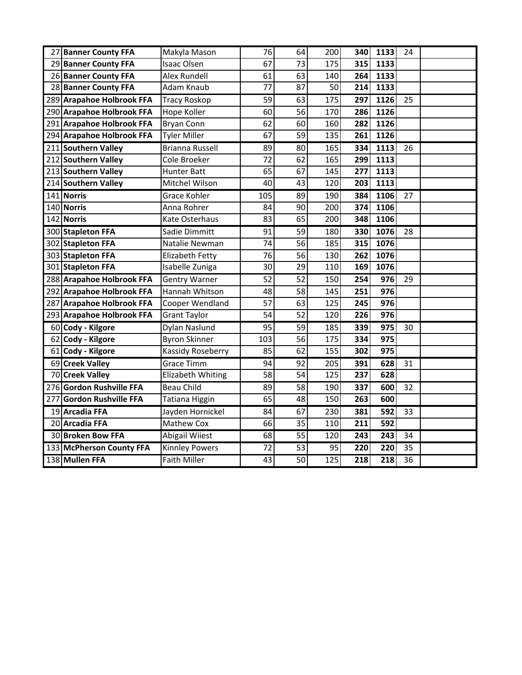| 27 Banner County FFA      | Makyla Mason           | 76              | 64              | 200 | 340              | 1133             | 24              |  |
|---------------------------|------------------------|-----------------|-----------------|-----|------------------|------------------|-----------------|--|
| 29 Banner County FFA      | Isaac Olsen            | 67              | 73              | 175 | 315              | 1133             |                 |  |
| 26 Banner County FFA      | <b>Alex Rundell</b>    | 61              | 63              | 140 | 264              | 1133             |                 |  |
| 28 Banner County FFA      | Adam Knaub             | 77              | 87              | 50  | 214              | 1133             |                 |  |
| 289 Arapahoe Holbrook FFA | <b>Tracy Roskop</b>    | 59              | 63              | 175 | 297              | 1126             | 25              |  |
| 290 Arapahoe Holbrook FFA | Hope Koller            | 60              | 56              | 170 | 286              | 1126             |                 |  |
| 291 Arapahoe Holbrook FFA | <b>Bryan Conn</b>      | 62              | 60              | 160 | 282              | 1126             |                 |  |
| 294 Arapahoe Holbrook FFA | <b>Tyler Miller</b>    | 67              | 59              | 135 | 261              | 1126             |                 |  |
| 211 Southern Valley       | <b>Brianna Russell</b> | 89              | 80              | 165 | 334              | 1113             | 26              |  |
| 212 Southern Valley       | Cole Broeker           | 72              | 62              | 165 | 299              | 1113             |                 |  |
| 213 Southern Valley       | <b>Hunter Batt</b>     | 65              | 67              | 145 | 277              | 1113             |                 |  |
| 214 Southern Valley       | Mitchel Wilson         | 40              | 43              | 120 | 203              | 1113             |                 |  |
| 141 Norris                | <b>Grace Kohler</b>    | 105             | 89              | 190 | 384              | 1106             | 27              |  |
| 140 Norris                | Anna Rohrer            | 84              | 90              | 200 | 374              | 1106             |                 |  |
| 142 Norris                | Kate Osterhaus         | 83              | 65              | 200 | 348              | 1106             |                 |  |
| 300 Stapleton FFA         | Sadie Dimmitt          | 91              | 59              | 180 | 330              | 1076             | 28              |  |
| 302 Stapleton FFA         | Natalie Newman         | 74              | 56              | 185 | 315              | 1076             |                 |  |
| 303 Stapleton FFA         | Elizabeth Fetty        | 76              | 56              | 130 | 262              | 1076             |                 |  |
| 301 Stapleton FFA         | Isabelle Zuniga        | 30              | 29              | 110 | 169              | 1076             |                 |  |
| 288 Arapahoe Holbrook FFA | <b>Gentry Warner</b>   | $\overline{52}$ | $\overline{52}$ | 150 | 254              | 976              | 29              |  |
| 292 Arapahoe Holbrook FFA | Hannah Whitson         | 48              | 58              | 145 | 251              | 976              |                 |  |
| 287 Arapahoe Holbrook FFA | Cooper Wendland        | 57              | 63              | 125 | 245              | 976              |                 |  |
| 293 Arapahoe Holbrook FFA | Grant Taylor           | 54              | 52              | 120 | 226              | 976              |                 |  |
| 60 Cody - Kilgore         | Dylan Naslund          | 95              | 59              | 185 | 339              | 975              | 30              |  |
| 62 Cody - Kilgore         | <b>Byron Skinner</b>   | 103             | 56              | 175 | 334              | 975              |                 |  |
| 61 Cody - Kilgore         | Kassidy Roseberry      | 85              | 62              | 155 | 302              | 975              |                 |  |
| 69 Creek Valley           | Grace Timm             | 94              | 92              | 205 | 391              | 628              | 31              |  |
| 70 Creek Valley           | Elizabeth Whiting      | 58              | 54              | 125 | 237              | 628              |                 |  |
| 276 Gordon Rushville FFA  | <b>Beau Child</b>      | 89              | 58              | 190 | 337              | 600              | 32              |  |
| 277 Gordon Rushville FFA  | Tatiana Higgin         | 65              | 48              | 150 | 263              | 600              |                 |  |
| 19 Arcadia FFA            | Jayden Hornickel       | 84              | 67              | 230 | 381              | 592              | 33              |  |
| 20 Arcadia FFA            | Mathew Cox             | 66              | 35              | 110 | 211              | 592              |                 |  |
| 30 Broken Bow FFA         | Abigail Wiiest         | 68              | $\overline{55}$ | 120 | 243              | 243              | 34              |  |
| 133 McPherson County FFA  | <b>Kinnley Powers</b>  | 72              | 53              | 95  | 220              | 220              | 35              |  |
| 138 Mullen FFA            | <b>Faith Miller</b>    | 43              | $\overline{50}$ | 125 | $\overline{218}$ | $\overline{218}$ | $\overline{36}$ |  |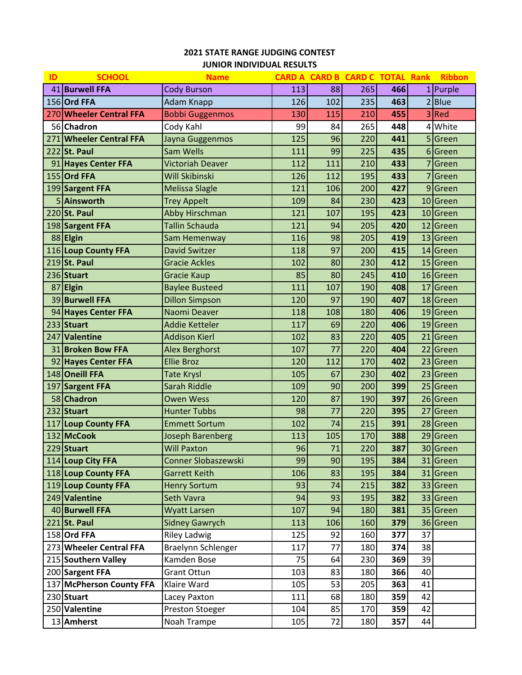# **STATE RANGE JUDGING CONTEST JUNIOR INDIVIDUAL RESULTS**

| ID | <b>SCHOOL</b>            | <b>Name</b>             |     |     | <b>CARD A CARD B CARD C TOTAL Rank</b> |     |                | <b>Ribbon</b> |
|----|--------------------------|-------------------------|-----|-----|----------------------------------------|-----|----------------|---------------|
|    | 41 Burwell FFA           | <b>Cody Burson</b>      | 113 | 88  | 265                                    | 466 |                | $1$ Purple    |
|    | 156 Ord FFA              | <b>Adam Knapp</b>       | 126 | 102 | 235                                    | 463 |                | 2 Blue        |
|    | 270 Wheeler Central FFA  | <b>Bobbi Guggenmos</b>  | 130 | 115 | 210                                    | 455 |                | $3$ Red       |
|    | 56 Chadron               | Cody Kahl               | 99  | 84  | 265                                    | 448 | 4              | White         |
|    | 271 Wheeler Central FFA  | Jayna Guggenmos         | 125 | 96  | 220                                    | 441 |                | 5 Green       |
|    | 222 St. Paul             | Sam Wells               | 111 | 99  | 225                                    | 435 |                | 6 Green       |
|    | 91 Hayes Center FFA      | <b>Victoriah Deaver</b> | 112 | 111 | 210                                    | 433 | 7              | Green         |
|    | 155 Ord FFA              | <b>Will Skibinski</b>   | 126 | 112 | 195                                    | 433 | $\overline{7}$ | Green         |
|    | 199 Sargent FFA          | <b>Melissa Slagle</b>   | 121 | 106 | 200                                    | 427 |                | 9 Green       |
|    | 5 Ainsworth              | <b>Trey Appelt</b>      | 109 | 84  | 230                                    | 423 |                | 10 Green      |
|    | 220 St. Paul             | Abby Hirschman          | 121 | 107 | 195                                    | 423 |                | 10 Green      |
|    | 198 Sargent FFA          | <b>Tallin Schauda</b>   | 121 | 94  | 205                                    | 420 |                | 12 Green      |
|    | 88 Elgin                 | Sam Hemenway            | 116 | 98  | 205                                    | 419 |                | 13 Green      |
|    | 116 Loup County FFA      | <b>David Switzer</b>    | 118 | 97  | 200                                    | 415 |                | 14 Green      |
|    | 219 St. Paul             | <b>Gracie Ackles</b>    | 102 | 80  | 230                                    | 412 |                | 15 Green      |
|    | 236 Stuart               | <b>Gracie Kaup</b>      | 85  | 80  | 245                                    | 410 |                | 16 Green      |
| 87 | <b>Elgin</b>             | <b>Baylee Busteed</b>   | 111 | 107 | 190                                    | 408 | 17             | Green         |
|    | 39 Burwell FFA           | <b>Dillon Simpson</b>   | 120 | 97  | 190                                    | 407 |                | 18 Green      |
|    | 94 Hayes Center FFA      | Naomi Deaver            | 118 | 108 | 180                                    | 406 |                | 19 Green      |
|    | 233 Stuart               | <b>Addie Ketteler</b>   | 117 | 69  | 220                                    | 406 |                | 19 Green      |
|    | 247 Valentine            | <b>Addison Kierl</b>    | 102 | 83  | 220                                    | 405 | 21             | Green         |
|    | 31 Broken Bow FFA        | <b>Alex Berghorst</b>   | 107 | 77  | 220                                    | 404 |                | 22 Green      |
|    | 92 Hayes Center FFA      | <b>Ellie Broz</b>       | 120 | 112 | 170                                    | 402 |                | 23 Green      |
|    | 148 Oneill FFA           | <b>Tate Krysl</b>       | 105 | 67  | 230                                    | 402 |                | 23 Green      |
|    | 197 Sargent FFA          | Sarah Riddle            | 109 | 90  | 200                                    | 399 |                | 25 Green      |
|    | 58 Chadron               | <b>Owen Wess</b>        | 120 | 87  | 190                                    | 397 |                | 26 Green      |
|    | 232 Stuart               | <b>Hunter Tubbs</b>     | 98  | 77  | 220                                    | 395 |                | 27 Green      |
|    | 117 Loup County FFA      | <b>Emmett Sortum</b>    | 102 | 74  | 215                                    | 391 |                | 28 Green      |
|    | 132 McCook               | <b>Joseph Barenberg</b> | 113 | 105 | 170                                    | 388 |                | 29 Green      |
|    | 229 Stuart               | <b>Will Paxton</b>      | 96  | 71  | 220                                    | 387 |                | 30 Green      |
|    | 114 Loup City FFA        | Conner Slobaszewski     | 99  | 90  | 195                                    | 384 |                | 31 Green      |
|    | 118 Loup County FFA      | <b>Garrett Keith</b>    | 106 | 83  | 195                                    | 384 |                | 31 Green      |
|    | 119 Loup County FFA      | <b>Henry Sortum</b>     | 93  | 74  | 215                                    | 382 |                | 33 Green      |
|    | 249 Valentine            | Seth Vavra              | 94  | 93  | 195                                    | 382 |                | 33 Green      |
|    | 40 Burwell FFA           | <b>Wyatt Larsen</b>     | 107 | 94  | 180                                    | 381 |                | 35 Green      |
|    | $221$ St. Paul           | <b>Sidney Gawrych</b>   | 113 | 106 | 160                                    | 379 |                | 36 Green      |
|    | 158 Ord FFA              | <b>Riley Ladwig</b>     | 125 | 92  | 160                                    | 377 | 37             |               |
|    | 273 Wheeler Central FFA  | Braelynn Schlenger      | 117 | 77  | 180                                    | 374 | 38             |               |
|    | 215 Southern Valley      | Kamden Bose             | 75  | 64  | 230                                    | 369 | 39             |               |
|    | 200 Sargent FFA          | <b>Grant Ottun</b>      | 103 | 83  | 180                                    | 366 | 40             |               |
|    | 137 McPherson County FFA | Klaire Ward             | 105 | 53  | 205                                    | 363 | 41             |               |
|    | 230 Stuart               | Lacey Paxton            | 111 | 68  | 180                                    | 359 | 42             |               |
|    | 250 Valentine            | Preston Stoeger         | 104 | 85  | 170                                    | 359 | 42             |               |
|    | 13 Amherst               | Noah Trampe             | 105 | 72  | 180                                    | 357 | 44             |               |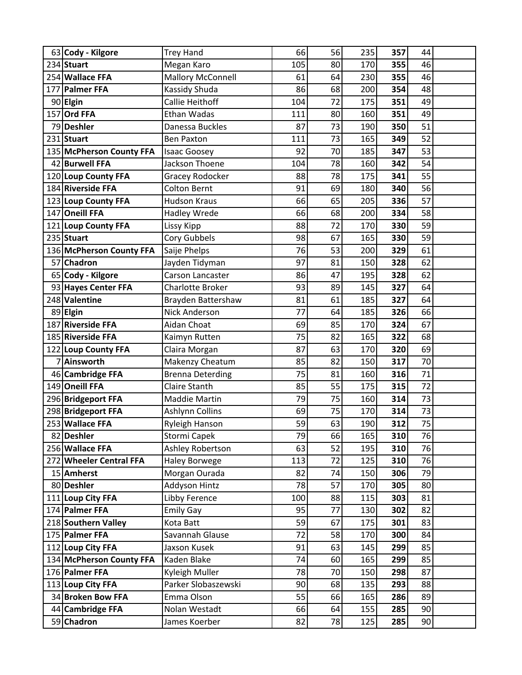|    | 63 Cody - Kilgore        | <b>Trey Hand</b>         | 66  | 56 | 235 | 357 | 44 |  |
|----|--------------------------|--------------------------|-----|----|-----|-----|----|--|
|    | 234 Stuart               | Megan Karo               | 105 | 80 | 170 | 355 | 46 |  |
|    | 254 Wallace FFA          | <b>Mallory McConnell</b> | 61  | 64 | 230 | 355 | 46 |  |
|    | 177 Palmer FFA           | Kassidy Shuda            | 86  | 68 | 200 | 354 | 48 |  |
|    | 90 Elgin                 | Callie Heithoff          | 104 | 72 | 175 | 351 | 49 |  |
|    | 157 Ord FFA              | Ethan Wadas              | 111 | 80 | 160 | 351 | 49 |  |
|    | 79 Deshler               | Danessa Buckles          | 87  | 73 | 190 | 350 | 51 |  |
|    | 231 Stuart               | <b>Ben Paxton</b>        | 111 | 73 | 165 | 349 | 52 |  |
|    | 135 McPherson County FFA | <b>Isaac Goosey</b>      | 92  | 70 | 185 | 347 | 53 |  |
|    | 42 Burwell FFA           | Jackson Thoene           | 104 | 78 | 160 | 342 | 54 |  |
|    | 120 Loup County FFA      | Gracey Rodocker          | 88  | 78 | 175 | 341 | 55 |  |
|    | 184 Riverside FFA        | <b>Colton Bernt</b>      | 91  | 69 | 180 | 340 | 56 |  |
|    | 123 Loup County FFA      | <b>Hudson Kraus</b>      | 66  | 65 | 205 | 336 | 57 |  |
|    | 147 Oneill FFA           | <b>Hadley Wrede</b>      | 66  | 68 | 200 | 334 | 58 |  |
|    | 121 Loup County FFA      | Lissy Kipp               | 88  | 72 | 170 | 330 | 59 |  |
|    | 235 Stuart               | Cory Gubbels             | 98  | 67 | 165 | 330 | 59 |  |
|    | 136 McPherson County FFA | Saije Phelps             | 76  | 53 | 200 | 329 | 61 |  |
| 57 | <b>Chadron</b>           | Jayden Tidyman           | 97  | 81 | 150 | 328 | 62 |  |
|    | 65 Cody - Kilgore        | Carson Lancaster         | 86  | 47 | 195 | 328 | 62 |  |
|    | 93 Hayes Center FFA      | Charlotte Broker         | 93  | 89 | 145 | 327 | 64 |  |
|    | 248 Valentine            | Brayden Battershaw       | 81  | 61 | 185 | 327 | 64 |  |
|    | 89 Elgin                 | <b>Nick Anderson</b>     | 77  | 64 | 185 | 326 | 66 |  |
|    | 187 Riverside FFA        | Aidan Choat              | 69  | 85 | 170 | 324 | 67 |  |
|    | 185 Riverside FFA        | Kaimyn Rutten            | 75  | 82 | 165 | 322 | 68 |  |
|    | 122 Loup County FFA      | Claira Morgan            | 87  | 63 | 170 | 320 | 69 |  |
|    | 7 Ainsworth              | Makenzy Cheatum          | 85  | 82 | 150 | 317 | 70 |  |
|    | 46 Cambridge FFA         | <b>Brenna Deterding</b>  | 75  | 81 | 160 | 316 | 71 |  |
|    | 149 Oneill FFA           | <b>Claire Stanth</b>     | 85  | 55 | 175 | 315 | 72 |  |
|    | 296 Bridgeport FFA       | Maddie Martin            | 79  | 75 | 160 | 314 | 73 |  |
|    | 298 Bridgeport FFA       | Ashlynn Collins          | 69  | 75 | 170 | 314 | 73 |  |
|    | 253 Wallace FFA          | <b>Ryleigh Hanson</b>    | 59  | 63 | 190 | 312 | 75 |  |
|    | 82 Deshler               | Stormi Capek             | 79  | 66 | 165 | 310 | 76 |  |
|    | 256 Wallace FFA          | Ashley Robertson         | 63  | 52 | 195 | 310 | 76 |  |
|    | 272 Wheeler Central FFA  | <b>Haley Borwege</b>     | 113 | 72 | 125 | 310 | 76 |  |
|    | 15 Amherst               | Morgan Ourada            | 82  | 74 | 150 | 306 | 79 |  |
|    | 80 Deshler               | <b>Addyson Hintz</b>     | 78  | 57 | 170 | 305 | 80 |  |
|    | 111 Loup City FFA        | Libby Ference            | 100 | 88 | 115 | 303 | 81 |  |
|    | 174 Palmer FFA           | <b>Emily Gay</b>         | 95  | 77 | 130 | 302 | 82 |  |
|    | 218 Southern Valley      | Kota Batt                | 59  | 67 | 175 | 301 | 83 |  |
|    | 175 Palmer FFA           | Savannah Glause          | 72  | 58 | 170 | 300 | 84 |  |
|    | 112 Loup City FFA        | Jaxson Kusek             | 91  | 63 | 145 | 299 | 85 |  |
|    | 134 McPherson County FFA | Kaden Blake              | 74  | 60 | 165 | 299 | 85 |  |
|    | 176 Palmer FFA           | Kyleigh Muller           | 78  | 70 | 150 | 298 | 87 |  |
|    | 113 Loup City FFA        | Parker Slobaszewski      | 90  | 68 | 135 | 293 | 88 |  |
|    | 34 Broken Bow FFA        | Emma Olson               | 55  | 66 | 165 | 286 | 89 |  |
|    | 44 Cambridge FFA         | Nolan Westadt            | 66  | 64 | 155 | 285 | 90 |  |
|    | 59 Chadron               | James Koerber            | 82  | 78 | 125 | 285 | 90 |  |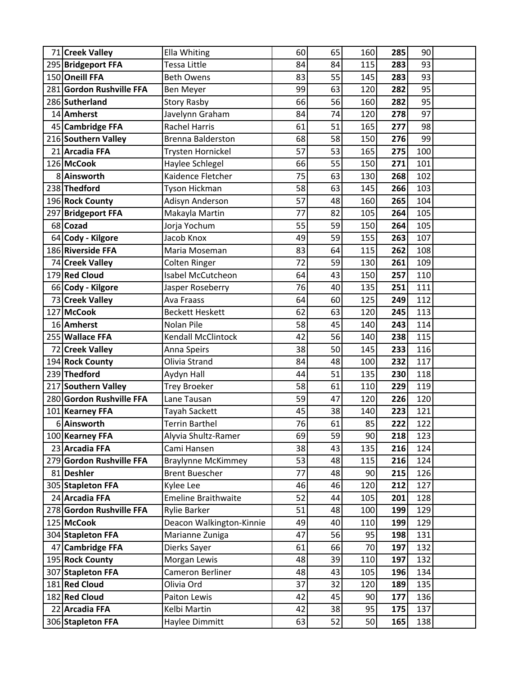| 71 Creek Valley          | <b>Ella Whiting</b>        | 60 | 65 | 160 | 285 | 90  |  |
|--------------------------|----------------------------|----|----|-----|-----|-----|--|
| 295 Bridgeport FFA       | Tessa Little               | 84 | 84 | 115 | 283 | 93  |  |
| 150 Oneill FFA           | <b>Beth Owens</b>          | 83 | 55 | 145 | 283 | 93  |  |
| 281 Gordon Rushville FFA | <b>Ben Meyer</b>           | 99 | 63 | 120 | 282 | 95  |  |
| 286 Sutherland           | <b>Story Rasby</b>         | 66 | 56 | 160 | 282 | 95  |  |
| 14 Amherst               | Javelynn Graham            | 84 | 74 | 120 | 278 | 97  |  |
| 45 Cambridge FFA         | <b>Rachel Harris</b>       | 61 | 51 | 165 | 277 | 98  |  |
| 216 Southern Valley      | <b>Brenna Balderston</b>   | 68 | 58 | 150 | 276 | 99  |  |
| 21 Arcadia FFA           | Trysten Hornickel          | 57 | 53 | 165 | 275 | 100 |  |
| 126 McCook               | Haylee Schlegel            | 66 | 55 | 150 | 271 | 101 |  |
| 8 Ainsworth              | Kaidence Fletcher          | 75 | 63 | 130 | 268 | 102 |  |
| 238 Thedford             | Tyson Hickman              | 58 | 63 | 145 | 266 | 103 |  |
| 196 Rock County          | Adisyn Anderson            | 57 | 48 | 160 | 265 | 104 |  |
| 297 Bridgeport FFA       | Makayla Martin             | 77 | 82 | 105 | 264 | 105 |  |
| 68 Cozad                 | Jorja Yochum               | 55 | 59 | 150 | 264 | 105 |  |
| 64 Cody - Kilgore        | Jacob Knox                 | 49 | 59 | 155 | 263 | 107 |  |
| 186 Riverside FFA        | Maria Moseman              | 83 | 64 | 115 | 262 | 108 |  |
| 74 Creek Valley          | Colten Ringer              | 72 | 59 | 130 | 261 | 109 |  |
| 179 Red Cloud            | Isabel McCutcheon          | 64 | 43 | 150 | 257 | 110 |  |
| 66 Cody - Kilgore        | Jasper Roseberry           | 76 | 40 | 135 | 251 | 111 |  |
| 73 Creek Valley          | Ava Fraass                 | 64 | 60 | 125 | 249 | 112 |  |
| 127 McCook               | <b>Beckett Heskett</b>     | 62 | 63 | 120 | 245 | 113 |  |
| 16 Amherst               | Nolan Pile                 | 58 | 45 | 140 | 243 | 114 |  |
| 255 Wallace FFA          | <b>Kendall McClintock</b>  | 42 | 56 | 140 | 238 | 115 |  |
| 72 Creek Valley          | Anna Speirs                | 38 | 50 | 145 | 233 | 116 |  |
| 194 Rock County          | Olivia Strand              | 84 | 48 | 100 | 232 | 117 |  |
| 239 Thedford             | Aydyn Hall                 | 44 | 51 | 135 | 230 | 118 |  |
| 217 Southern Valley      | <b>Trey Broeker</b>        | 58 | 61 | 110 | 229 | 119 |  |
| 280 Gordon Rushville FFA | Lane Tausan                | 59 | 47 | 120 | 226 | 120 |  |
| 101 Kearney FFA          | Tayah Sackett              | 45 | 38 | 140 | 223 | 121 |  |
| 6 Ainsworth              | <b>Terrin Barthel</b>      | 76 | 61 | 85  | 222 | 122 |  |
| 100 Kearney FFA          | Alyvia Shultz-Ramer        | 69 | 59 | 90  | 218 | 123 |  |
| 23 Arcadia FFA           | Cami Hansen                | 38 | 43 | 135 | 216 | 124 |  |
| 279 Gordon Rushville FFA | <b>Braylynne McKimmey</b>  | 53 | 48 | 115 | 216 | 124 |  |
| 81 Deshler               | <b>Brent Buescher</b>      | 77 | 48 | 90  | 215 | 126 |  |
| 305 Stapleton FFA        | Kylee Lee                  | 46 | 46 | 120 | 212 | 127 |  |
| 24 Arcadia FFA           | <b>Emeline Braithwaite</b> | 52 | 44 | 105 | 201 | 128 |  |
| 278 Gordon Rushville FFA | <b>Rylie Barker</b>        | 51 | 48 | 100 | 199 | 129 |  |
| 125 McCook               | Deacon Walkington-Kinnie   | 49 | 40 | 110 | 199 | 129 |  |
| 304 Stapleton FFA        | Marianne Zuniga            | 47 | 56 | 95  | 198 | 131 |  |
| 47 Cambridge FFA         | Dierks Sayer               | 61 | 66 | 70  | 197 | 132 |  |
| 195 Rock County          | Morgan Lewis               | 48 | 39 | 110 | 197 | 132 |  |
| 307 Stapleton FFA        | Cameron Berliner           | 48 | 43 | 105 | 196 | 134 |  |
| 181 Red Cloud            | Olivia Ord                 | 37 | 32 | 120 | 189 | 135 |  |
| 182 Red Cloud            | Paiton Lewis               | 42 | 45 | 90  | 177 | 136 |  |
| 22 Arcadia FFA           | Kelbi Martin               | 42 | 38 | 95  | 175 | 137 |  |
| 306 Stapleton FFA        | Haylee Dimmitt             | 63 | 52 | 50  | 165 | 138 |  |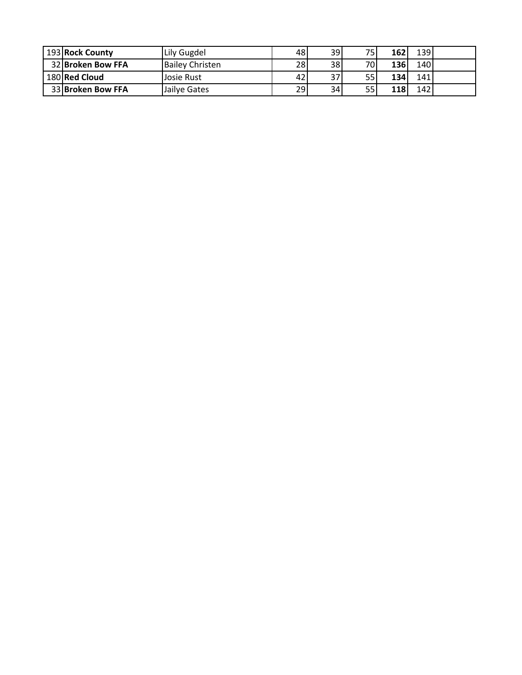| 193 Rock County   | Lily Gugdel            | 48 | 39 | 75.             | 162 | 139  |  |
|-------------------|------------------------|----|----|-----------------|-----|------|--|
| 32 Broken Bow FFA | <b>Bailey Christen</b> | 28 | 38 | 70 <sub>1</sub> | 136 | 1401 |  |
| 180 Red Cloud     | Josie Rust             | 42 | 37 | 55              | 134 | 141  |  |
| 33 Broken Bow FFA | Jailve Gates           | 29 | 34 | 55              | 118 | 142  |  |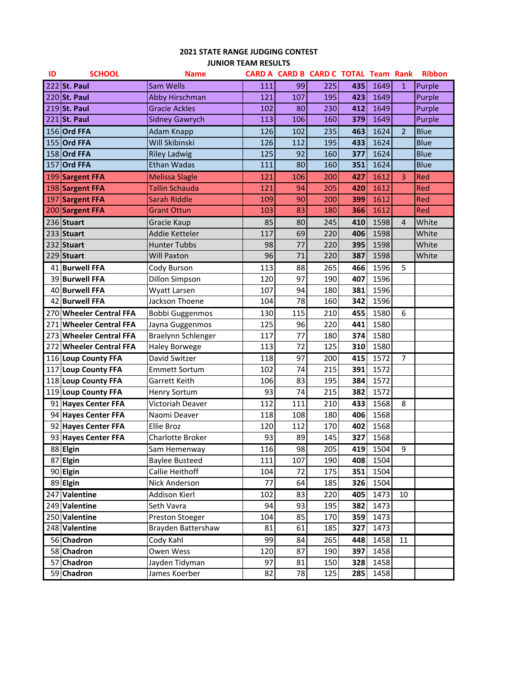## **STATE RANGE JUDGING CONTEST JUNIOR TEAM RESULTS**

| ID | <b>SCHOOL</b>           | <b>Name</b>            |     |     | CARD A CARD B CARD C TOTAL Team Rank |     |      |                | <b>Ribbon</b> |
|----|-------------------------|------------------------|-----|-----|--------------------------------------|-----|------|----------------|---------------|
|    | 222 St. Paul            | <b>Sam Wells</b>       | 111 | 99  | 225                                  | 435 | 1649 | $\mathbf{1}$   | Purple        |
|    | 220 St. Paul            | <b>Abby Hirschman</b>  | 121 | 107 | 195                                  | 423 | 1649 |                | Purple        |
|    | 219 St. Paul            | <b>Gracie Ackles</b>   | 102 | 80  | 230                                  | 412 | 1649 |                | Purple        |
|    | 221 St. Paul            | <b>Sidney Gawrych</b>  | 113 | 106 | 160                                  | 379 | 1649 |                | Purple        |
|    | 156 Ord FFA             | <b>Adam Knapp</b>      | 126 | 102 | 235                                  | 463 | 1624 | $\overline{2}$ | <b>Blue</b>   |
|    | 155 Ord FFA             | Will Skibinski         | 126 | 112 | 195                                  | 433 | 1624 |                | <b>Blue</b>   |
|    | 158 Ord FFA             | <b>Riley Ladwig</b>    | 125 | 92  | 160                                  | 377 | 1624 |                | <b>Blue</b>   |
|    | 157 Ord FFA             | <b>Ethan Wadas</b>     | 111 | 80  | 160                                  | 351 | 1624 |                | <b>Blue</b>   |
|    | 199 Sargent FFA         | <b>Melissa Slagle</b>  | 121 | 106 | 200                                  | 427 | 1612 | 3              | Red           |
|    | 198 Sargent FFA         | Tallin Schauda         | 121 | 94  | 205                                  | 420 | 1612 |                | Red           |
|    | 197 Sargent FFA         | Sarah Riddle           | 109 | 90  | 200                                  | 399 | 1612 |                | Red           |
|    | 200 Sargent FFA         | <b>Grant Ottun</b>     | 103 | 83  | 180                                  | 366 | 1612 |                | Red           |
|    | 236 Stuart              | Gracie Kaup            | 85  | 80  | 245                                  | 410 | 1598 | 4              | White         |
|    | 233 Stuart              | Addie Ketteler         | 117 | 69  | 220                                  | 406 | 1598 |                | White         |
|    | 232 Stuart              | <b>Hunter Tubbs</b>    | 98  | 77  | 220                                  | 395 | 1598 |                | White         |
|    | 229 Stuart              | <b>Will Paxton</b>     | 96  | 71  | 220                                  | 387 | 1598 |                | White         |
|    | 41 Burwell FFA          | Cody Burson            | 113 | 88  | 265                                  | 466 | 1596 | 5              |               |
|    | 39 Burwell FFA          | Dillon Simpson         | 120 | 97  | 190                                  | 407 | 1596 |                |               |
|    | 40 Burwell FFA          | Wyatt Larsen           | 107 | 94  | 180                                  | 381 | 1596 |                |               |
|    | 42 Burwell FFA          | Jackson Thoene         | 104 | 78  | 160                                  | 342 | 1596 |                |               |
|    | 270 Wheeler Central FFA | <b>Bobbi Guggenmos</b> | 130 | 115 | 210                                  | 455 | 1580 | 6              |               |
|    | 271 Wheeler Central FFA | Jayna Guggenmos        | 125 | 96  | 220                                  | 441 | 1580 |                |               |
|    | 273 Wheeler Central FFA | Braelynn Schlenger     | 117 | 77  | 180                                  | 374 | 1580 |                |               |
|    | 272 Wheeler Central FFA | <b>Haley Borwege</b>   | 113 | 72  | 125                                  | 310 | 1580 |                |               |
|    | 116 Loup County FFA     | David Switzer          | 118 | 97  | 200                                  | 415 | 1572 | $\overline{7}$ |               |
|    | 117 Loup County FFA     | <b>Emmett Sortum</b>   | 102 | 74  | 215                                  | 391 | 1572 |                |               |
|    | 118 Loup County FFA     | Garrett Keith          | 106 | 83  | 195                                  | 384 | 1572 |                |               |
|    | 119 Loup County FFA     | <b>Henry Sortum</b>    | 93  | 74  | 215                                  | 382 | 1572 |                |               |
|    | 91 Hayes Center FFA     | Victoriah Deaver       | 112 | 111 | 210                                  | 433 | 1568 | 8              |               |
|    | 94 Hayes Center FFA     | Naomi Deaver           | 118 | 108 | 180                                  | 406 | 1568 |                |               |
|    | 92 Hayes Center FFA     | <b>Ellie Broz</b>      | 120 | 112 | 170                                  | 402 | 1568 |                |               |
|    | 93 Hayes Center FFA     | Charlotte Broker       | 93  | 89  | 145                                  | 327 | 1568 |                |               |
|    | 88 Elgin                | Sam Hemenway           | 116 | 98  | 205                                  | 419 | 1504 | 9              |               |
|    | 87 Elgin                | <b>Baylee Busteed</b>  | 111 | 107 | 190                                  | 408 | 1504 |                |               |
|    | 90 Elgin                | Callie Heithoff        | 104 | 72  | 175                                  | 351 | 1504 |                |               |
|    | 89 Elgin                | Nick Anderson          | 77  | 64  | 185                                  | 326 | 1504 |                |               |
|    | 247 Valentine           | Addison Kierl          | 102 | 83  | 220                                  | 405 | 1473 | 10             |               |
|    | 249 Valentine           | Seth Vavra             | 94  | 93  | 195                                  | 382 | 1473 |                |               |
|    | 250 Valentine           | Preston Stoeger        | 104 | 85  | 170                                  | 359 | 1473 |                |               |
|    | 248 Valentine           | Brayden Battershaw     | 81  | 61  | 185                                  | 327 | 1473 |                |               |
|    | 56 Chadron              | Cody Kahl              | 99  | 84  | 265                                  | 448 | 1458 | 11             |               |
|    | 58 Chadron              | Owen Wess              | 120 | 87  | 190                                  | 397 | 1458 |                |               |
|    | 57 Chadron              | Jayden Tidyman         | 97  | 81  | 150                                  | 328 | 1458 |                |               |
|    | 59 Chadron              | James Koerber          | 82  | 78  | 125                                  | 285 | 1458 |                |               |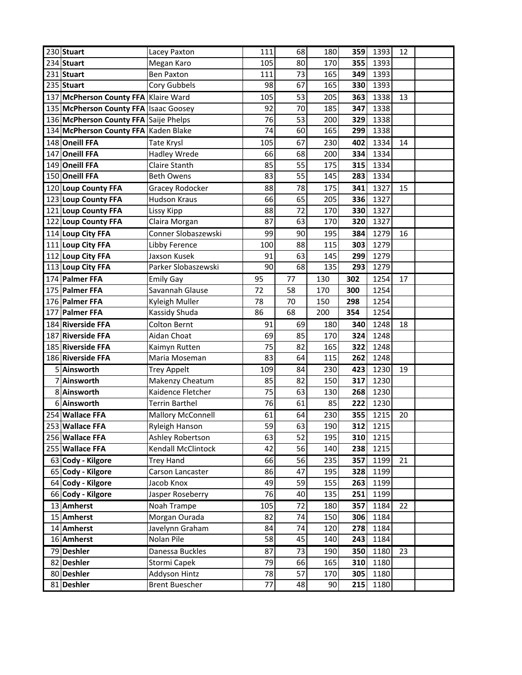| 230 Stuart                            | Lacey Paxton                           | 111      | 68       | 180       | 359 | 1393             | 12 |  |
|---------------------------------------|----------------------------------------|----------|----------|-----------|-----|------------------|----|--|
| 234 Stuart                            | Megan Karo                             | 105      | 80       | 170       | 355 | 1393             |    |  |
| 231 Stuart                            | <b>Ben Paxton</b>                      | 111      | 73       | 165       | 349 | 1393             |    |  |
| 235 Stuart                            | Cory Gubbels                           | 98       | 67       | 165       | 330 | 1393             |    |  |
| 137 McPherson County FFA              | Klaire Ward                            | 105      | 53       | 205       | 363 | 1338             | 13 |  |
| 135 McPherson County FFA              | <b>Isaac Goosey</b>                    | 92       | 70       | 185       | 347 | 1338             |    |  |
| 136 McPherson County FFA Saije Phelps |                                        | 76       | 53       | 200       | 329 | 1338             |    |  |
| 134 McPherson County FFA Kaden Blake  |                                        | 74       | 60       | 165       | 299 | 1338             |    |  |
| 148 Oneill FFA                        | Tate Krysl                             | 105      | 67       | 230       | 402 | 1334             | 14 |  |
| 147 Oneill FFA                        | <b>Hadley Wrede</b>                    | 66       | 68       | 200       | 334 | 1334             |    |  |
| 149 Oneill FFA                        | Claire Stanth                          | 85       | 55       | 175       | 315 | 1334             |    |  |
| 150 Oneill FFA                        | <b>Beth Owens</b>                      | 83       | 55       | 145       | 283 | 1334             |    |  |
| 120 Loup County FFA                   | Gracey Rodocker                        | 88       | 78       | 175       | 341 | 1327             | 15 |  |
| 123 Loup County FFA                   | <b>Hudson Kraus</b>                    | 66       | 65       | 205       | 336 | 1327             |    |  |
| 121 Loup County FFA                   | Lissy Kipp                             | 88       | 72       | 170       | 330 | 1327             |    |  |
| 122 Loup County FFA                   | Claira Morgan                          | 87       | 63       | 170       | 320 | 1327             |    |  |
| 114 Loup City FFA                     | Conner Slobaszewski                    | 99       | 90       | 195       | 384 | 1279             | 16 |  |
| 111 Loup City FFA                     | Libby Ference                          | 100      | 88       | 115       | 303 | 1279             |    |  |
| 112 Loup City FFA                     | Jaxson Kusek                           | 91       | 63       | 145       | 299 | 1279             |    |  |
| 113 Loup City FFA                     | Parker Slobaszewski                    | 90       | 68       | 135       | 293 | 1279             |    |  |
| 174 Palmer FFA                        | <b>Emily Gay</b>                       | 95       | 77       | 130       | 302 | 1254             | 17 |  |
| 175 Palmer FFA                        | Savannah Glause                        | 72       | 58       | 170       | 300 | 1254             |    |  |
| 176 Palmer FFA                        | Kyleigh Muller                         | 78       | 70       | 150       | 298 | 1254             |    |  |
| 177 Palmer FFA                        | Kassidy Shuda                          | 86       | 68       | 200       | 354 | 1254             |    |  |
|                                       |                                        |          |          |           |     |                  |    |  |
| 184 Riverside FFA                     | <b>Colton Bernt</b>                    | 91       | 69       | 180       | 340 | 1248             | 18 |  |
| 187 Riverside FFA                     | Aidan Choat                            | 69       | 85       | 170       | 324 | 1248             |    |  |
| 185 Riverside FFA                     | Kaimyn Rutten                          | 75       | 82       | 165       | 322 | 1248             |    |  |
| 186 Riverside FFA                     | Maria Moseman                          | 83       | 64       | 115       | 262 | 1248             |    |  |
| 5 Ainsworth                           | <b>Trey Appelt</b>                     | 109      | 84       | 230       | 423 | 1230             | 19 |  |
| 7 Ainsworth                           | Makenzy Cheatum                        | 85       | 82       | 150       | 317 | 1230             |    |  |
| 8 Ainsworth                           | Kaidence Fletcher                      | 75       | 63       | 130       | 268 | 1230             |    |  |
| 6 Ainsworth                           | <b>Terrin Barthel</b>                  | 76       | 61       | 85        | 222 | 1230             |    |  |
| 254 Wallace FFA                       | <b>Mallory McConnell</b>               | 61       | 64       | 230       | 355 | 1215             | 20 |  |
| 253 Wallace FFA                       | Ryleigh Hanson                         | 59       | 63       | 190       | 312 | 1215             |    |  |
| 256 Wallace FFA                       | Ashley Robertson                       | 63       | 52       | 195       | 310 | 1215             |    |  |
| 255 Wallace FFA                       | Kendall McClintock                     | 42       | 56       | 140       | 238 | 1215             |    |  |
| 63 Cody - Kilgore                     | <b>Trey Hand</b>                       | 66       | 56       | 235       | 357 | 1199             | 21 |  |
| 65 Cody - Kilgore                     | Carson Lancaster                       | 86       | 47       | 195       | 328 | 1199             |    |  |
| 64 Cody - Kilgore                     | Jacob Knox                             | 49       | 59       | 155       | 263 | 1199             |    |  |
| 66 Cody - Kilgore                     | Jasper Roseberry                       | 76       | 40       | 135       | 251 | 1199             |    |  |
| 13 Amherst                            | Noah Trampe                            | 105      | 72       | 180       | 357 | 1184             | 22 |  |
| 15 Amherst                            | Morgan Ourada                          | 82       | 74       | 150       | 306 | 1184             |    |  |
| 14 Amherst                            | Javelynn Graham                        | 84       | 74       | 120       | 278 | 1184             |    |  |
| 16 Amherst                            | Nolan Pile                             | 58       | 45       | 140       | 243 | 1184             |    |  |
| 79 Deshler                            | Danessa Buckles                        | 87       | 73       | 190       | 350 | 1180             | 23 |  |
| 82 Deshler                            | Stormi Capek                           | 79       | 66       | 165       | 310 | 1180             |    |  |
| 80 Deshler<br>81 Deshler              | Addyson Hintz<br><b>Brent Buescher</b> | 78<br>77 | 57<br>48 | 170<br>90 | 305 | 1180<br>215 1180 |    |  |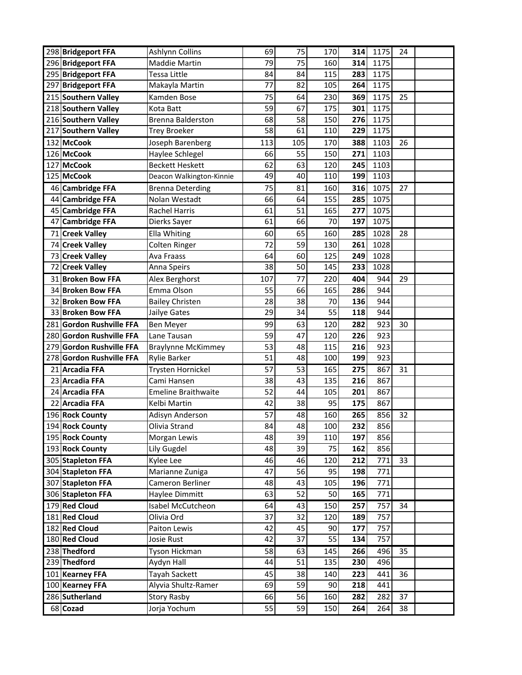| 298 Bridgeport FFA         | Ashlynn Collins                    | 69       | 75       | 170        | 314        | 1175       | 24       |  |
|----------------------------|------------------------------------|----------|----------|------------|------------|------------|----------|--|
| 296 Bridgeport FFA         | <b>Maddie Martin</b>               | 79       | 75       | 160        | 314        | 1175       |          |  |
| 295 Bridgeport FFA         | Tessa Little                       | 84       | 84       | 115        | 283        | 1175       |          |  |
| 297 Bridgeport FFA         | Makayla Martin                     | 77       | 82       | 105        | 264        | 1175       |          |  |
| 215 Southern Valley        | Kamden Bose                        | 75       | 64       | 230        | 369        | 1175       | 25       |  |
| 218 Southern Valley        | Kota Batt                          | 59       | 67       | 175        | 301        | 1175       |          |  |
| 216 Southern Valley        | <b>Brenna Balderston</b>           | 68       | 58       | 150        | 276        | 1175       |          |  |
| 217 Southern Valley        | <b>Trey Broeker</b>                | 58       | 61       | 110        | 229        | 1175       |          |  |
| 132 McCook                 | Joseph Barenberg                   | 113      | 105      | 170        | 388        | 1103       | 26       |  |
| 126 McCook                 | Haylee Schlegel                    | 66       | 55       | 150        | 271        | 1103       |          |  |
| 127 McCook                 | <b>Beckett Heskett</b>             | 62       | 63       | 120        | 245        | 1103       |          |  |
| 125 McCook                 | Deacon Walkington-Kinnie           | 49       | 40       | 110        | 199        | 1103       |          |  |
| 46 Cambridge FFA           | <b>Brenna Deterding</b>            | 75       | 81       | 160        | 316        | 1075       | 27       |  |
| 44 Cambridge FFA           | Nolan Westadt                      | 66       | 64       | 155        | 285        | 1075       |          |  |
| 45 Cambridge FFA           | Rachel Harris                      | 61       | 51       | 165        | 277        | 1075       |          |  |
| <b>Cambridge FFA</b><br>47 | Dierks Sayer                       | 61       | 66       | 70         | 197        | 1075       |          |  |
| 71 Creek Valley            | Ella Whiting                       | 60       | 65       | 160        | 285        | 1028       | 28       |  |
| 74 Creek Valley            | Colten Ringer                      | 72       | 59       | 130        | 261        | 1028       |          |  |
| 73 Creek Valley            | Ava Fraass                         | 64       | 60       | 125        | 249        | 1028       |          |  |
| 72 Creek Valley            | Anna Speirs                        | 38       | 50       | 145        | 233        | 1028       |          |  |
| 31 Broken Bow FFA          | Alex Berghorst                     | 107      | 77       | 220        | 404        | 944        | 29       |  |
| 34 Broken Bow FFA          | Emma Olson                         | 55       | 66       | 165        | 286        | 944        |          |  |
| 32 Broken Bow FFA          | <b>Bailey Christen</b>             | 28       | 38       | 70         | 136        | 944        |          |  |
| 33 Broken Bow FFA          | Jailye Gates                       | 29       | 34       | 55         | 118        | 944        |          |  |
| 281 Gordon Rushville FFA   | <b>Ben Meyer</b>                   | 99       | 63       | 120        | 282        | 923        | 30       |  |
| 280 Gordon Rushville FFA   | Lane Tausan                        | 59       | 47       | 120        | 226        | 923        |          |  |
| 279 Gordon Rushville FFA   | <b>Braylynne McKimmey</b>          | 53       | 48       | 115        | 216        | 923        |          |  |
| 278 Gordon Rushville FFA   | <b>Rylie Barker</b>                | 51       | 48       | 100        | 199        | 923        |          |  |
| 21 Arcadia FFA             | Trysten Hornickel                  | 57       | 53       | 165        | 275        | 867        | 31       |  |
| 23 Arcadia FFA             | Cami Hansen                        | 38       | 43       | 135        | 216        | 867        |          |  |
| 24 Arcadia FFA             | <b>Emeline Braithwaite</b>         | 52       | 44       | 105        | 201        | 867        |          |  |
| 22 Arcadia FFA             | Kelbi Martin                       | 42       | 38       | 95         | 175        | 867        |          |  |
| 196 Rock County            | Adisyn Anderson                    | 57       | 48       | 160        | 265        | 856        | 32       |  |
| 194 Rock County            | Olivia Strand                      | 84       | 48       | 100        | 232        | 856        |          |  |
| 195 Rock County            | Morgan Lewis                       | 48       | 39       | 110        | 197        | 856        |          |  |
| 193 Rock County            | Lily Gugdel                        | 48       | 39       | 75         | 162        | 856        |          |  |
| 305 Stapleton FFA          | Kylee Lee                          | 46       | 46       | 120        | 212        | 771        | 33       |  |
| 304 Stapleton FFA          | Marianne Zuniga                    | 47       | 56       | 95         | 198        | 771        |          |  |
| 307 Stapleton FFA          | Cameron Berliner                   | 48       | 43       | 105        | 196        | 771        |          |  |
| 306 Stapleton FFA          | Haylee Dimmitt                     | 63       | 52       | 50         | 165        | 771        |          |  |
| 179 Red Cloud              | Isabel McCutcheon                  | 64       | 43       | 150        | 257        | 757        | 34       |  |
| 181 Red Cloud              | Olivia Ord                         | 37       | 32       | 120        | 189        | 757        |          |  |
| 182 Red Cloud              | Paiton Lewis                       | 42       | 45       | 90         | 177        | 757        |          |  |
| 180 Red Cloud              | Josie Rust                         | 42       | 37       | 55         | 134        | 757        |          |  |
| 238 Thedford               | Tyson Hickman                      | 58       | 63       | 145        | 266        | 496        | 35       |  |
| 239 Thedford               | Aydyn Hall                         | 44       | 51       | 135        | 230        | 496        |          |  |
|                            |                                    |          |          |            |            |            |          |  |
| 101 Kearney FFA            | Tayah Sackett                      | 45       | 38       | 140        | 223        | 441        | 36       |  |
| 100 Kearney FFA            | Alyvia Shultz-Ramer                | 69       | 59       | 90         | 218        | 441        |          |  |
| 286 Sutherland<br>68 Cozad | <b>Story Rasby</b><br>Jorja Yochum | 66<br>55 | 56<br>59 | 160<br>150 | 282<br>264 | 282<br>264 | 37<br>38 |  |